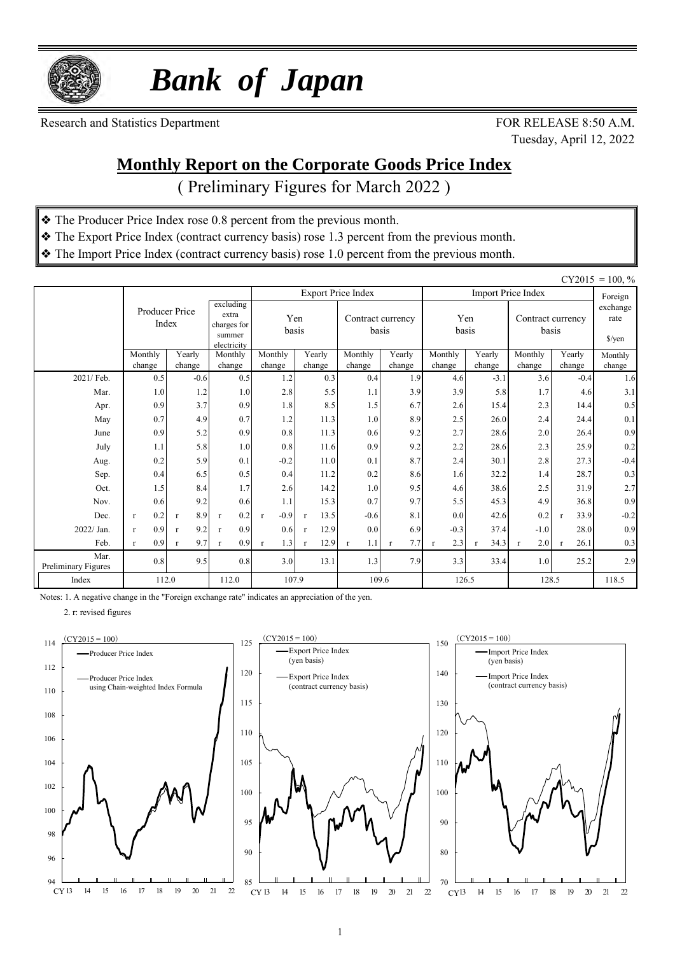

 *Bank of Japan*

Research and Statistics Department FOR RELEASE 8:50 A.M.

Tuesday, April 12, 2022

#### **Monthly Report on the Corporate Goods Price Index**

( Preliminary Figures for March 2022 )

- ❖ The Producer Price Index rose 0.8 percent from the previous month.
- ❖ The Export Price Index (contract currency basis) rose 1.3 percent from the previous month.
- ❖ The Import Price Index (contract currency basis) rose 1.0 percent from the previous month.

|                             |                     |                         |                                                            |                        |                      |                            |                     |                     |                  |                            |                      | $CY2015 = 100, %$          |
|-----------------------------|---------------------|-------------------------|------------------------------------------------------------|------------------------|----------------------|----------------------------|---------------------|---------------------|------------------|----------------------------|----------------------|----------------------------|
|                             |                     |                         |                                                            |                        |                      | <b>Export Price Index</b>  |                     |                     |                  | <b>Import Price Index</b>  |                      | Foreign                    |
|                             |                     | Producer Price<br>Index | excluding<br>extra<br>charges for<br>summer<br>electricity | basis                  | Yen                  | Contract currency<br>basis |                     | Yen<br>basis        |                  | Contract currency<br>basis |                      | exchange<br>rate<br>\$/yen |
|                             | Monthly<br>change   | Yearly<br>change        | Monthly<br>change                                          | Monthly<br>change      | Yearly<br>change     | Monthly<br>change          | Yearly<br>change    | Monthly<br>change   | Yearly<br>change | Monthly<br>change          | Yearly<br>change     | Monthly                    |
| 2021/ Feb.                  | 0.5                 | $-0.6$                  | 0.5                                                        | 1.2                    | 0.3                  | 0.4                        | 1.9                 | 4.6                 | $-3.1$           | 3.6                        | $-0.4$               | change<br>1.6              |
| Mar.                        | 1.0                 | 1.2                     | 1.0                                                        | 2.8                    | 5.5                  | 1.1                        | 3.9                 | 3.9                 | 5.8              | 1.7                        | 4.6                  | 3.1                        |
| Apr.                        | 0.9                 | 3.7                     | 0.9                                                        | 1.8                    | 8.5                  | 1.5                        | 6.7                 | 2.6                 | 15.4             | 2.3                        | 14.4                 | 0.5                        |
| May                         | 0.7                 | 4.9                     | 0.7                                                        | 1.2                    | 11.3                 | 1.0                        | 8.9                 | 2.5                 | 26.0             | 2.4                        | 24.4                 | 0.1                        |
| June                        | 0.9                 | 5.2                     | 0.9                                                        | 0.8                    | 11.3                 | 0.6                        | 9.2                 | 2.7                 | 28.6             | 2.0                        | 26.4                 | 0.9                        |
| July                        | 1.1                 | 5.8                     | 1.0                                                        | 0.8                    | 11.6                 | 0.9                        | 9.2                 | 2.2                 | 28.6             | 2.3                        | 25.9                 | 0.2                        |
| Aug.                        | 0.2                 | 5.9                     | 0.1                                                        | $-0.2$                 | 11.0                 | 0.1                        | 8.7                 | 2.4                 | 30.1             | 2.8                        | 27.3                 | $-0.4$                     |
| Sep.                        | 0.4                 | 6.5                     | 0.5                                                        | 0.4                    | 11.2                 | 0.2                        | 8.6                 | 1.6                 | 32.2             | 1.4                        | 28.7                 | 0.3                        |
| Oct.                        | 1.5                 | 8.4                     | 1.7                                                        | 2.6                    | 14.2                 | 1.0                        | 9.5                 | 4.6                 | 38.6             | 2.5                        | 31.9                 | 2.7                        |
| Nov.                        | 0.6                 | 9.2                     | 0.6                                                        | 1.1                    | 15.3                 | 0.7                        | 9.7                 | 5.5                 | 45.3             | 4.9                        | 36.8                 | 0.9                        |
| Dec.                        | 0.2<br>$\mathbf{r}$ | 8.9<br>$\mathbf{r}$     | 0.2<br>$\mathbf{r}$                                        | $-0.9$<br>$\mathbf{r}$ | 13.5<br>$\mathbf{r}$ | $-0.6$                     | 8.1                 | 0.0                 | 42.6             | 0.2                        | 33.9<br>$\mathbf{r}$ | $-0.2$                     |
| 2022/ Jan.                  | 0.9<br>$\mathbf{r}$ | 9.2<br>$\mathbf{r}$     | 0.9<br>$\mathbf{r}$                                        | 0.6                    | 12.9<br>$\mathbf{r}$ | 0.0                        | 6.9                 | $-0.3$              | 37.4             | $-1.0$                     | 28.0                 | 0.9                        |
| Feb.                        | 0.9<br>$\mathbf{r}$ | 9.7<br>r                | 0.9<br>$\mathbf{r}$                                        | 1.3<br>$\mathbf{r}$    | 12.9<br>$\mathbf{r}$ | 1.1<br>$\mathbf{r}$        | 7.7<br>$\mathbf{r}$ | 2.3<br>$\mathbf{r}$ | 34.3             | 2.0<br>$\mathbf{r}$        | 26.1<br>$\mathbf{r}$ | 0.3                        |
| Mar.<br>Preliminary Figures | 0.8                 | 9.5                     | 0.8                                                        | 3.0                    | 13.1                 | 1.3                        | 7.9                 | 3.3                 | 33.4             | 1.0                        | 25.2                 | 2.9                        |
| Index                       | 112.0               |                         | 112.0                                                      | 107.9                  |                      |                            | 109.6               | 126.5               |                  | 128.5                      |                      | 118.5                      |

Notes: 1. A negative change in the "Foreign exchange rate" indicates an appreciation of the yen.

2. r: revised figures



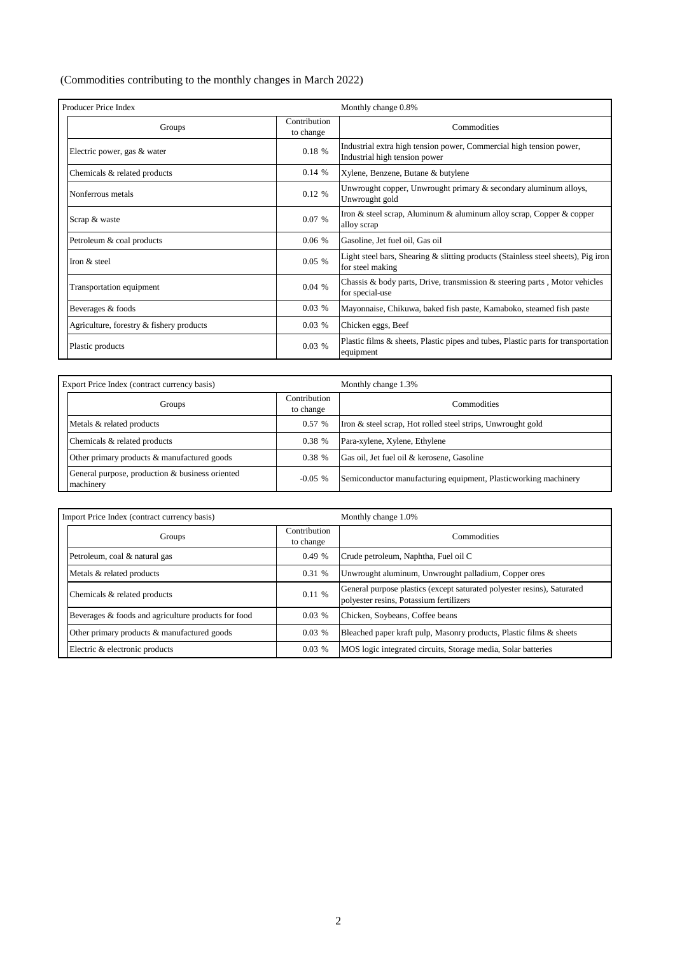(Commodities contributing to the monthly changes in March 2022)

| Producer Price Index                     |                           | Monthly change 0.8%                                                                                   |  |  |  |  |  |
|------------------------------------------|---------------------------|-------------------------------------------------------------------------------------------------------|--|--|--|--|--|
| Groups                                   | Contribution<br>to change | Commodities                                                                                           |  |  |  |  |  |
| Electric power, gas & water              | 0.18%                     | Industrial extra high tension power, Commercial high tension power,<br>Industrial high tension power  |  |  |  |  |  |
| Chemicals & related products             | 0.14%                     | Xylene, Benzene, Butane & butylene                                                                    |  |  |  |  |  |
| Nonferrous metals                        | $0.12 \%$                 | Unwrought copper, Unwrought primary & secondary aluminum alloys,<br>Unwrought gold                    |  |  |  |  |  |
| Scrap & waste                            | 0.07%                     | Iron & steel scrap, Aluminum & aluminum alloy scrap, Copper & copper<br>alloy scrap                   |  |  |  |  |  |
| Petroleum & coal products                | 0.06%                     | Gasoline, Jet fuel oil, Gas oil                                                                       |  |  |  |  |  |
| Iron & steel                             | $0.05\%$                  | Light steel bars, Shearing & slitting products (Stainless steel sheets), Pig iron<br>for steel making |  |  |  |  |  |
| Transportation equipment                 | 0.04%                     | Chassis & body parts, Drive, transmission & steering parts, Motor vehicles<br>for special-use         |  |  |  |  |  |
| Beverages & foods                        | 0.03%                     | Mayonnaise, Chikuwa, baked fish paste, Kamaboko, steamed fish paste                                   |  |  |  |  |  |
| Agriculture, forestry & fishery products | $0.03\%$                  | Chicken eggs, Beef                                                                                    |  |  |  |  |  |
| Plastic products                         | 0.03%                     | Plastic films & sheets, Plastic pipes and tubes, Plastic parts for transportation<br>equipment        |  |  |  |  |  |

| Export Price Index (contract currency basis)                 |                           | Monthly change 1.3%                                             |  |  |  |  |
|--------------------------------------------------------------|---------------------------|-----------------------------------------------------------------|--|--|--|--|
| Groups                                                       | Contribution<br>to change | Commodities                                                     |  |  |  |  |
| Metals & related products                                    | 0.57%                     | Iron & steel scrap, Hot rolled steel strips, Unwrought gold     |  |  |  |  |
| Chemicals & related products                                 | 0.38%                     | Para-xylene, Xylene, Ethylene                                   |  |  |  |  |
| Other primary products & manufactured goods                  | 0.38%                     | Gas oil, Jet fuel oil & kerosene, Gasoline                      |  |  |  |  |
| General purpose, production & business oriented<br>machinery | $-0.05\%$                 | Semiconductor manufacturing equipment, Plasticworking machinery |  |  |  |  |

| Import Price Index (contract currency basis)        |                           | Monthly change 1.0%                                                                                                |
|-----------------------------------------------------|---------------------------|--------------------------------------------------------------------------------------------------------------------|
| Groups                                              | Contribution<br>to change | Commodities                                                                                                        |
| Petroleum, coal & natural gas                       | 0.49%                     | Crude petroleum, Naphtha, Fuel oil C                                                                               |
| Metals & related products                           | 0.31 %                    | Unwrought aluminum, Unwrought palladium, Copper ores                                                               |
| Chemicals & related products                        | 0.11%                     | General purpose plastics (except saturated polyester resins), Saturated<br>polyester resins, Potassium fertilizers |
| Beverages & foods and agriculture products for food | 0.03%                     | Chicken, Soybeans, Coffee beans                                                                                    |
| Other primary products & manufactured goods         | 0.03%                     | Bleached paper kraft pulp, Masonry products, Plastic films & sheets                                                |
| Electric & electronic products                      | 0.03%                     | MOS logic integrated circuits, Storage media, Solar batteries                                                      |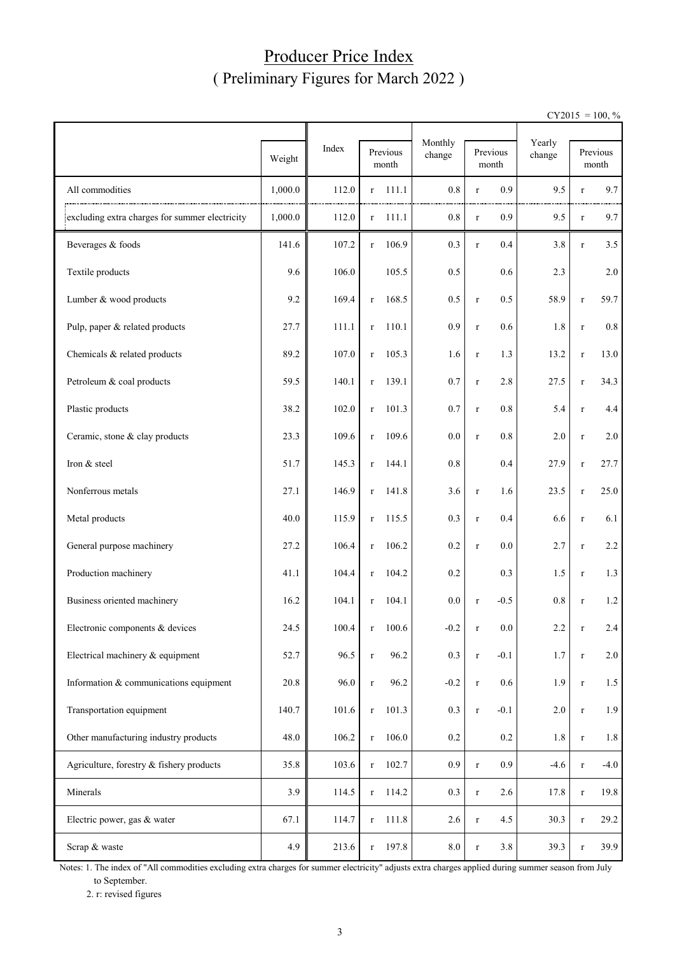#### Producer Price Index ( Preliminary Figures for March 2022 )

 $CY2015 = 100, \%$ 

|                                                |         |       |                          | Monthly |                    | Yearly  |             |                   |
|------------------------------------------------|---------|-------|--------------------------|---------|--------------------|---------|-------------|-------------------|
|                                                | Weight  | Index | Previous<br>month        | change  | Previous<br>month  | change  |             | Previous<br>month |
| All commodities                                | 1,000.0 | 112.0 | 111.1<br>$\bf r$         | 0.8     | 0.9<br>$\bf r$     | 9.5     | $\bf r$     | 9.7               |
| excluding extra charges for summer electricity | 1,000.0 | 112.0 | 111.1<br>$\mathbf r$     | 0.8     | 0.9<br>$\bf r$     | 9.5     | $\bf r$     | 9.7               |
| Beverages & foods                              | 141.6   | 107.2 | 106.9<br>$\mathbf r$     | 0.3     | 0.4<br>$\bf r$     | 3.8     | $\bf r$     | 3.5               |
| Textile products                               | 9.6     | 106.0 | 105.5                    | 0.5     | 0.6                | 2.3     |             | 2.0               |
| Lumber & wood products                         | 9.2     | 169.4 | 168.5<br>$\bf r$         | 0.5     | 0.5<br>$\bf r$     | 58.9    | $\bf r$     | 59.7              |
| Pulp, paper & related products                 | 27.7    | 111.1 | 110.1<br>$\bf r$         | 0.9     | 0.6<br>$\bf r$     | $1.8\,$ | $\bf r$     | 0.8               |
| Chemicals & related products                   | 89.2    | 107.0 | 105.3<br>$\mathbf r$     | 1.6     | 1.3<br>$\bf r$     | 13.2    | $\bf r$     | 13.0              |
| Petroleum & coal products                      | 59.5    | 140.1 | 139.1<br>$\mathbf r$     | 0.7     | 2.8<br>$\bf r$     | 27.5    | $\bf r$     | 34.3              |
| Plastic products                               | 38.2    | 102.0 | 101.3<br>$\bf r$         | 0.7     | 0.8<br>$\bf r$     | 5.4     | $\bf r$     | 4.4               |
| Ceramic, stone & clay products                 | 23.3    | 109.6 | 109.6<br>$\mathbf r$     | 0.0     | 0.8<br>$\mathbf r$ | 2.0     | $\bf r$     | 2.0               |
| Iron & steel                                   | 51.7    | 145.3 | 144.1<br>$\mathbf r$     | 0.8     | 0.4                | 27.9    | $\bf r$     | 27.7              |
| Nonferrous metals                              | 27.1    | 146.9 | 141.8<br>$\mathbf r$     | 3.6     | 1.6<br>$\mathbf r$ | 23.5    | $\bf r$     | 25.0              |
| Metal products                                 | 40.0    | 115.9 | 115.5<br>$\mathbf r$     | 0.3     | 0.4<br>$\bf r$     | 6.6     | $\bf r$     | 6.1               |
| General purpose machinery                      | 27.2    | 106.4 | 106.2<br>$\mathbf r$     | 0.2     | 0.0<br>$\bf r$     | 2.7     | $\bf r$     | 2.2               |
| Production machinery                           | 41.1    | 104.4 | 104.2<br>$\bf r$         | 0.2     | 0.3                | 1.5     | $\bf r$     | 1.3               |
| Business oriented machinery                    | 16.2    | 104.1 | 104.1<br>$\bf r$         | 0.0     | $-0.5$<br>$\bf r$  | 0.8     | $\bf r$     | 1.2               |
| Electronic components & devices                | 24.5    | 100.4 | 100.6<br>r               | $-0.2$  | 0.0                | 2.2     |             | 2.4               |
| Electrical machinery & equipment               | 52.7    | 96.5  | 96.2<br>$\bf r$          | 0.3     | $-0.1$<br>$\bf r$  | 1.7     | $\mathbf r$ | 2.0               |
| Information & communications equipment         | 20.8    | 96.0  | 96.2<br>$\bf r$          | $-0.2$  | 0.6<br>$\bf r$     | 1.9     | $\bf r$     | 1.5               |
| Transportation equipment                       | 140.7   | 101.6 | 101.3<br>$\bf r$         | 0.3     | $-0.1$<br>$\bf r$  | $2.0\,$ | $\bf r$     | 1.9               |
| Other manufacturing industry products          | 48.0    | 106.2 | 106.0<br>$\mathbf r$     | $0.2\,$ | $0.2\,$            | $1.8\,$ | $\bf r$     | 1.8               |
| Agriculture, forestry & fishery products       | 35.8    | 103.6 | 102.7<br>$\mathbf r$     | 0.9     | 0.9<br>$\bf r$     | $-4.6$  | $\bf r$     | $-4.0$            |
| Minerals                                       | 3.9     | 114.5 | 114.2<br>$\bf r$         | 0.3     | 2.6<br>$\bf r$     | 17.8    | $\bf r$     | 19.8              |
| Electric power, gas & water                    | 67.1    | 114.7 | 111.8<br>$\mathbf r$     | 2.6     | 4.5<br>$\bf r$     | 30.3    | $\bf r$     | 29.2              |
| Scrap & waste                                  | 4.9     | 213.6 | 197.8<br>$r_{\parallel}$ | $8.0\,$ | $3.8\,$<br>$\bf r$ | 39.3    | $\bf r$     | 39.9              |

Notes: 1. The index of "All commodities excluding extra charges for summer electricity" adjusts extra charges applied during summer season from July to September.

2. r: revised figures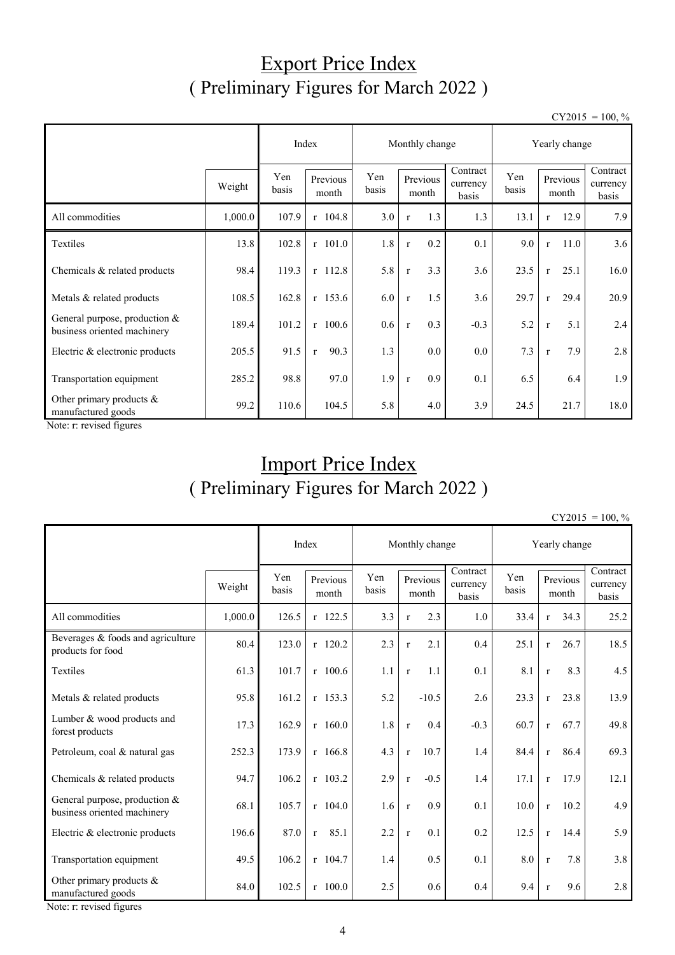### Export Price Index ( Preliminary Figures for March 2022 )

 $CY2015 = 100, \%$ 

|                                                              |         | Index        |                                   |     | Monthly change          |                               | Yearly change |                      |                               |  |
|--------------------------------------------------------------|---------|--------------|-----------------------------------|-----|-------------------------|-------------------------------|---------------|----------------------|-------------------------------|--|
|                                                              | Weight  | Yen<br>basis | Yen<br>Previous<br>basis<br>month |     | Previous<br>month       | Contract<br>currency<br>basis | Yen<br>basis  | Previous<br>month    | Contract<br>currency<br>basis |  |
| All commodities                                              | 1,000.0 | 107.9        | $r$ 104.8                         | 3.0 | 1.3<br>$\mathbf{r}$     | 1.3                           | 13.1          | 12.9<br>$\mathbf{r}$ | 7.9                           |  |
| Textiles                                                     | 13.8    | 102.8        | $r$ 101.0                         | 1.8 | $0.2\,$<br>$\mathbf{r}$ | 0.1                           | 9.0           | 11.0<br>$\mathbf{r}$ | 3.6                           |  |
| Chemicals & related products                                 | 98.4    | 119.3        | $r$ 112.8                         | 5.8 | 3.3<br>$\mathbf r$      | 3.6                           | 23.5          | 25.1<br>$\mathbf{r}$ | 16.0                          |  |
| Metals & related products                                    | 108.5   | 162.8        | $r$ 153.6                         | 6.0 | 1.5<br>$\mathbf r$      | 3.6                           | 29.7          | 29.4<br>$\mathbf{r}$ | 20.9                          |  |
| General purpose, production &<br>business oriented machinery | 189.4   | 101.2        | $r$ 100.6                         | 0.6 | 0.3<br>$\mathbf{r}$     | $-0.3$                        | 5.2           | 5.1<br>$\mathbf{r}$  | 2.4                           |  |
| Electric & electronic products                               | 205.5   | 91.5         | 90.3<br>$\mathbf{r}$              | 1.3 | $0.0\,$                 | $0.0\,$                       | 7.3           | 7.9<br>$\mathbf{r}$  | 2.8                           |  |
| Transportation equipment                                     | 285.2   | 98.8         | 97.0                              | 1.9 | 0.9<br>$\mathbf{r}$     | 0.1                           | 6.5           | 6.4                  | 1.9                           |  |
| Other primary products &<br>manufactured goods               | 99.2    | 110.6        | 104.5                             | 5.8 | 4.0                     | 3.9                           | 24.5          | 21.7                 | 18.0                          |  |

Note: r: revised figures

# Import Price Index ( Preliminary Figures for March 2022 )

 $CY2015 = 100. %$ 

|                                                              |         |              | Index                |              | Monthly change        |                               | Yearly change |              |                   |                               |  |
|--------------------------------------------------------------|---------|--------------|----------------------|--------------|-----------------------|-------------------------------|---------------|--------------|-------------------|-------------------------------|--|
|                                                              | Weight  | Yen<br>basis | Previous<br>month    | Yen<br>basis | Previous<br>month     | Contract<br>currency<br>basis | Yen<br>basis  |              | Previous<br>month | Contract<br>currency<br>basis |  |
| All commodities                                              | 1,000.0 | 126.5        | $r$ 122.5            | 3.3          | 2.3<br>$\mathbf{r}$   | 1.0                           | 33.4          | $\mathbf{r}$ | 34.3              | 25.2                          |  |
| Beverages & foods and agriculture<br>products for food       | 80.4    | 123.0        | r 120.2              | 2.3          | 2.1<br>$\mathbf{r}$   | 0.4                           | 25.1          | $\mathbf{r}$ | 26.7              | 18.5                          |  |
| Textiles                                                     | 61.3    | 101.7        | $r$ 100.6            | 1.1          | 1.1<br>$\mathbf r$    | 0.1                           | 8.1           | $\mathbf{r}$ | 8.3               | 4.5                           |  |
| Metals & related products                                    | 95.8    | 161.2        | r 153.3              | 5.2          | $-10.5$               | 2.6                           | 23.3          | $\mathbf{r}$ | 23.8              | 13.9                          |  |
| Lumber & wood products and<br>forest products                | 17.3    | 162.9        | $r$ 160.0            | 1.8          | 0.4<br>$\mathbf{r}$   | $-0.3$                        | 60.7          | $\mathbf{r}$ | 67.7              | 49.8                          |  |
| Petroleum, coal & natural gas                                | 252.3   | 173.9        | $r$ 166.8            | 4.3          | 10.7<br>$\mathbf{r}$  | 1.4                           | 84.4          | $\mathbf{r}$ | 86.4              | 69.3                          |  |
| Chemicals & related products                                 | 94.7    | 106.2        | $r$ 103.2            | 2.9          | $-0.5$<br>$\mathbf r$ | 1.4                           | 17.1          | $\mathbf{r}$ | 17.9              | 12.1                          |  |
| General purpose, production &<br>business oriented machinery | 68.1    | 105.7        | $r$ 104.0            | 1.6          | 0.9<br>$\mathbf r$    | 0.1                           | 10.0          | $\mathbf{r}$ | 10.2              | 4.9                           |  |
| Electric & electronic products                               | 196.6   | 87.0         | 85.1<br>$\mathbf{r}$ | 2.2          | 0.1<br>$\mathbf{r}$   | 0.2                           | 12.5          | $\mathbf{r}$ | 14.4              | 5.9                           |  |
| Transportation equipment                                     | 49.5    | 106.2        | $r$ 104.7            | 1.4          | 0.5                   | 0.1                           | 8.0           | $\mathbf{r}$ | 7.8               | 3.8                           |  |
| Other primary products &<br>manufactured goods               | 84.0    | 102.5        | $r$ 100.0            | 2.5          | 0.6                   | 0.4                           | 9.4           | $\mathbf{r}$ | 9.6               | 2.8                           |  |

Note: r: revised figures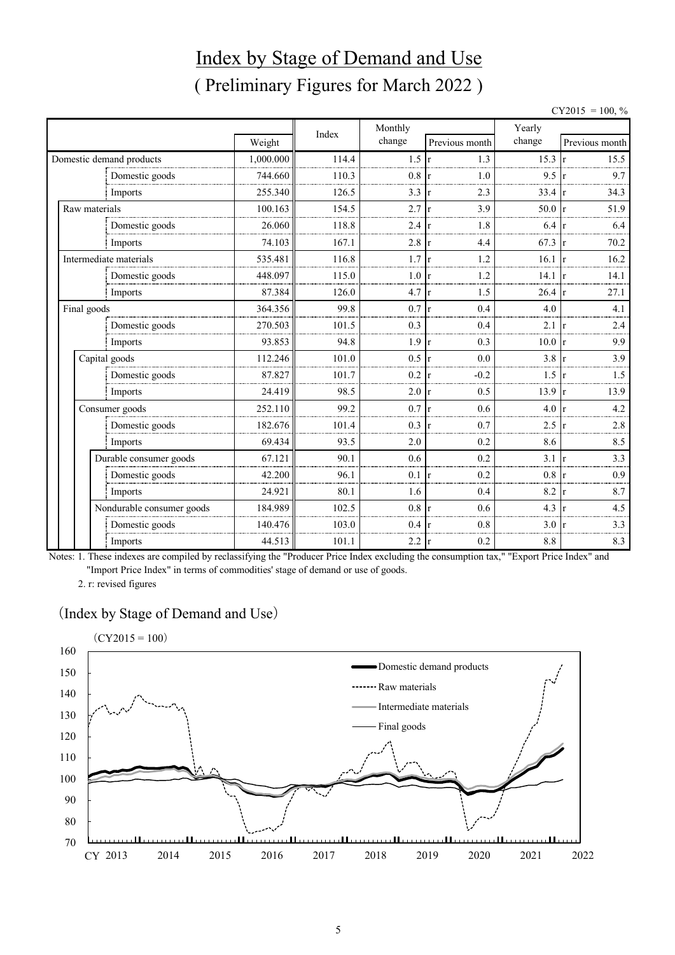# Index by Stage of Demand and Use ( Preliminary Figures for March 2022 )

| $= 100, \%$ |  |
|-------------|--|
|             |  |

|               |                           |           | Index | Monthly |                     | Yearly           |                      |
|---------------|---------------------------|-----------|-------|---------|---------------------|------------------|----------------------|
|               |                           | Weight    |       | change  | Previous month      | change           | Previous month       |
|               | Domestic demand products  | 1,000.000 | 114.4 | 1.5     | 1.3<br>$\mathbf{r}$ | 15.3             | 15.5                 |
|               | Domestic goods            | 744.660   | 110.3 | 0.8     | 1.0                 | 9.5              | 9.7                  |
|               | Imports                   | 255.340   | 126.5 | 3.3     | 2.3                 | 33.4             | 34.3<br><sup>r</sup> |
| Raw materials |                           | 100.163   | 154.5 | 2.7     | 3.9                 | 50.0 r           | 51.9                 |
|               | Domestic goods            | 26.060    | 118.8 | 2.4     | 1.8                 | 6.4              | 6.4                  |
|               | Imports                   | 74.103    | 167.1 | 2.8     | 4.4                 | $67.3 \text{ r}$ | 70.2                 |
|               | Intermediate materials    | 535.481   | 116.8 | 1.7     | 1.2                 | 16.1             | 16.2<br>$\mathbf{r}$ |
|               | Domestic goods            | 448.097   | 115.0 | 1.0     | 1.2                 | $14.1 \text{ r}$ | 14.1                 |
|               | Imports                   | 87.384    | 126.0 | 4.7     | 1.5<br>r            | $26.4 \text{ r}$ | 27.1                 |
| Final goods   |                           | 364.356   | 99.8  | 0.7     | 0.4<br>r            | 4.0              | 4.1                  |
|               | Domestic goods            | 270.503   | 101.5 | 0.3     | 0.4                 | $2.1 \text{ r}$  | 2.4                  |
|               | Imports                   | 93.853    | 94.8  | 1.9     | 0.3<br>r            | 10.0             | 9.9<br><b>r</b>      |
|               | Capital goods             | 112.246   | 101.0 | 0.5     | 0.0                 | 3.8              | 3.9                  |
|               | Domestic goods            | 87.827    | 101.7 | 0.2     | $-0.2$              | 1.5              | 1.5                  |
|               | Imports                   | 24.419    | 98.5  | 2.0     | 0.5<br>r            | 13.9             | 13.9<br><b>r</b>     |
|               | Consumer goods            | 252.110   | 99.2  | 0.7     | 0.6                 | 4.0              | 4.2                  |
|               | Domestic goods            | 182.676   | 101.4 | 0.3     | 0.7                 | 2.5              | 2.8                  |
|               | Imports                   | 69.434    | 93.5  | 2.0     | 0.2                 | 8.6              | 8.5                  |
|               | Durable consumer goods    | 67.121    | 90.1  | 0.6     | 0.2                 | 3.1              | 3.3                  |
|               | Domestic goods            | 42.200    | 96.1  | 0.1     | 0.2                 | $0.8 \text{ r}$  | 0.9                  |
|               | Imports                   | 24.921    | 80.1  | 1.6     | 0.4                 | 8.2              | 8.7                  |
|               | Nondurable consumer goods | 184.989   | 102.5 | 0.8     | 0.6                 | 4.3              | 4.5                  |
|               | Domestic goods            | 140.476   | 103.0 | 0.4     | 0.8                 | 3.0              | 3.3                  |
|               | Imports                   | 44.513    | 101.1 | 2.2     | 0.2<br>r            | 8.8              | 8.3                  |

Notes: 1. These indexes are compiled by reclassifying the "Producer Price Index excluding the consumption tax," "Export Price Index" and "Import Price Index" in terms of commodities' stage of demand or use of goods.

2. r: revised figures

#### (Index by Stage of Demand and Use)

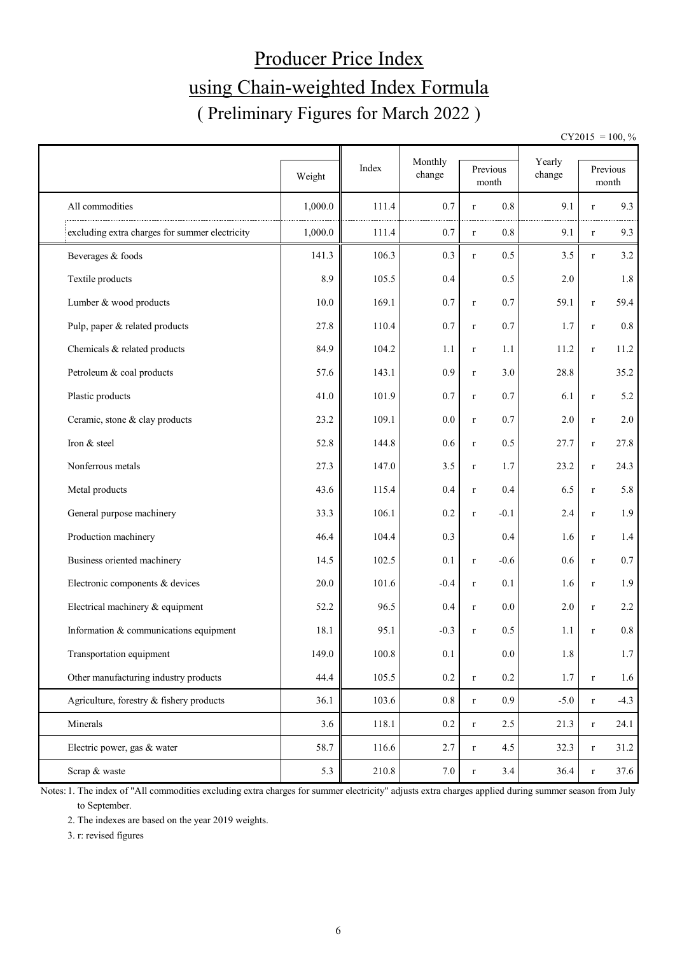# Producer Price Index using Chain-weighted Index Formula ( Preliminary Figures for March 2022 )

 $CY2015 = 100, \%$ 

|                                                |         | Index | Monthly | Previous                        | Yearly |              | Previous         |
|------------------------------------------------|---------|-------|---------|---------------------------------|--------|--------------|------------------|
|                                                | Weight  |       | change  | month                           | change |              | month            |
| All commodities                                | 1,000.0 | 111.4 | 0.7     | 0.8<br>$\bf r$                  | 9.1    | $\mathbf{r}$ | 9.3              |
| excluding extra charges for summer electricity | 1,000.0 | 111.4 | 0.7     | $0.8\,$<br>$\bf r$              | 9.1    | $\bf r$      | 9.3              |
| Beverages & foods                              | 141.3   | 106.3 | 0.3     | 0.5<br>$\mathbf r$              | 3.5    | r            | 3.2              |
| Textile products                               | 8.9     | 105.5 | 0.4     | 0.5                             | 2.0    |              | 1.8              |
| Lumber & wood products                         | 10.0    | 169.1 | 0.7     | 0.7<br>$\mathbf r$              | 59.1   | $\bf r$      | 59.4             |
| Pulp, paper & related products                 | 27.8    | 110.4 | 0.7     | 0.7<br>$\mathbf r$              | 1.7    | $\bf r$      | $0.8\,$          |
| Chemicals & related products                   | 84.9    | 104.2 | 1.1     | 1.1<br>$\mathbf r$              | 11.2   | $\bf r$      | 11.2             |
| Petroleum & coal products                      | 57.6    | 143.1 | 0.9     | 3.0<br>$\mathbf r$              | 28.8   |              | 35.2             |
| Plastic products                               | 41.0    | 101.9 | 0.7     | 0.7<br>$\bf r$                  | 6.1    | $\bf r$      | 5.2              |
| Ceramic, stone & clay products                 | 23.2    | 109.1 | 0.0     | 0.7<br>$\mathbf r$              | 2.0    | $\bf r$      | 2.0              |
| Iron & steel                                   | 52.8    | 144.8 | 0.6     | 0.5<br>$\mathbf r$              | 27.7   | $\bf r$      | 27.8             |
| Nonferrous metals                              | 27.3    | 147.0 | 3.5     | 1.7<br>$\bf r$                  | 23.2   | $\bf r$      | 24.3             |
| Metal products                                 | 43.6    | 115.4 | 0.4     | 0.4<br>$\bf r$                  | 6.5    | $\bf r$      | 5.8              |
| General purpose machinery                      | 33.3    | 106.1 | $0.2\,$ | $-0.1$<br>$\mathbf r$           | 2.4    | $\bf r$      | 1.9              |
| Production machinery                           | 46.4    | 104.4 | 0.3     | 0.4                             | 1.6    | $\bf r$      | 1.4              |
| Business oriented machinery                    | 14.5    | 102.5 | 0.1     | $-0.6$<br>$\bf r$               | 0.6    | $\bf r$      | 0.7              |
| Electronic components & devices                | 20.0    | 101.6 | $-0.4$  | 0.1<br>$\bf r$                  | 1.6    | $\bf r$      | 1.9              |
| Electrical machinery & equipment               | 52.2    | 96.5  | 0.4     | 0.0<br>$\mathbf r$              | 2.0    | $\bf r$      | 2.2              |
| Information & communications equipment         | 18.1    | 95.1  | $-0.3$  | 0.5<br>$\bf r$                  | 1.1    | $\mathbf{r}$ | 0.8              |
| Transportation equipment                       | 149.0   | 100.8 | 0.1     | 0.0                             | 1.8    |              | 1.7 <sub>l</sub> |
| Other manufacturing industry products          | 44.4    | 105.5 | $0.2\,$ | $0.2\,$<br>$\mathbf r$          | 1.7    | $\bf r$      | 1.6              |
| Agriculture, forestry & fishery products       | 36.1    | 103.6 | 0.8     | 0.9 <sub>0</sub><br>$\mathbf r$ | $-5.0$ | $\bf r$      | $-4.3$           |
| Minerals                                       | 3.6     | 118.1 | $0.2\,$ | 2.5<br>$\mathbf r$              | 21.3   | $\bf r$      | 24.1             |
| Electric power, gas & water                    | 58.7    | 116.6 | 2.7     | 4.5<br>$\bf r$                  | 32.3   | $\bf r$      | 31.2             |
| Scrap & waste                                  | 5.3     | 210.8 | 7.0     | 3.4<br>$\mathbf r$              | 36.4   | $\bf r$      | 37.6             |

Notes: 1. The index of "All commodities excluding extra charges for summer electricity" adjusts extra charges applied during summer season from July to September.

2. The indexes are based on the year 2019 weights.

3. r: revised figures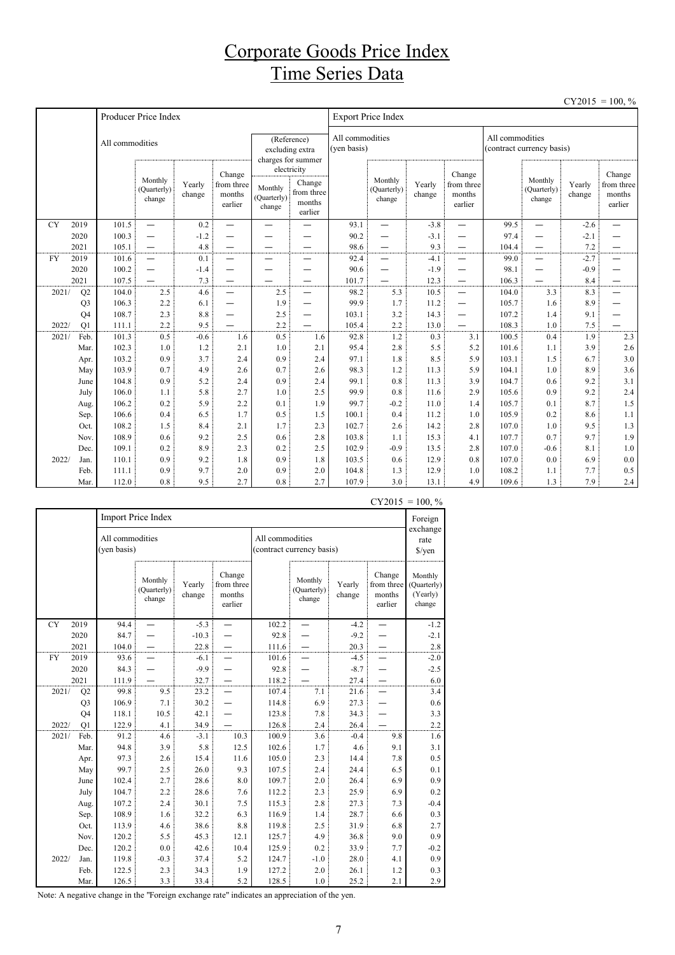#### Corporate Goods Price Index Time Series Data

|           |                      |                 |                                  |                  |                                           |                                  |                                                          |                                |                                  |                  |                                                      |                 |                                  |                  | $CY2015 = 100, \%$                        |
|-----------|----------------------|-----------------|----------------------------------|------------------|-------------------------------------------|----------------------------------|----------------------------------------------------------|--------------------------------|----------------------------------|------------------|------------------------------------------------------|-----------------|----------------------------------|------------------|-------------------------------------------|
|           |                      |                 | Producer Price Index             |                  |                                           |                                  |                                                          |                                | <b>Export Price Index</b>        |                  |                                                      |                 |                                  |                  |                                           |
|           |                      | All commodities |                                  |                  |                                           |                                  | (Reference)<br>excluding extra<br>charges for summer     | All commodities<br>(yen basis) |                                  |                  |                                                      | All commodities | (contract currency basis)        |                  |                                           |
|           |                      |                 | Monthly<br>(Quarterly)<br>change | Yearly<br>change | Change<br>from three<br>months<br>earlier | Monthly<br>(Quarterly)<br>change | electricity<br>Change<br>from three<br>months<br>earlier |                                | Monthly<br>(Quarterly)<br>change | Yearly<br>change | Change<br>from three<br>months<br>earlier            |                 | Monthly<br>(Quarterly)<br>change | Yearly<br>change | Change<br>from three<br>months<br>earlier |
| <b>CY</b> | 2019                 | 101.5           | $\overline{\phantom{0}}$         | 0.2              | $\overline{\phantom{0}}$                  |                                  |                                                          | 93.1                           | $\overline{\phantom{0}}$         | $-3.8$           | —                                                    | 99.5            | $\overline{\phantom{0}}$         | $-2.6$           |                                           |
|           | 2020                 | 100.3           | $\overline{\phantom{0}}$         | $-1.2$           |                                           |                                  |                                                          | 90.2                           | $\overline{\phantom{0}}$         | $-3.1$           | $\overline{\phantom{0}}$                             | 97.4            | $\overline{\phantom{0}}$         | $-2.1$           |                                           |
|           | 2021                 | 105.1           | $\overline{\phantom{0}}$         | 4.8              |                                           |                                  |                                                          | 98.6                           | $\overline{\phantom{0}}$         | 9.3              | —                                                    | 104.4           | —                                | 7.2              |                                           |
| <b>FY</b> | 2019                 | 101.6           | $\overline{\phantom{0}}$         | 0.1              | —                                         | —                                |                                                          | 92.4                           | -                                | $-4.1$           | —                                                    | 99.0            | $\overline{\phantom{0}}$         | $-2.7$           | —                                         |
|           | 2020                 | 100.2           | $\overline{\phantom{0}}$         | $-1.4$           | —                                         | -                                |                                                          | 90.6                           | -                                | $-1.9$           | -                                                    | 98.1            | —                                | $-0.9$           | —                                         |
| 2021/     | 2021                 | 107.5           | 2.5                              | 7.3              |                                           | 2.5                              | $\overline{\phantom{0}}$                                 | 101.7<br>98.2                  | $\overline{\phantom{0}}$<br>5.3  | 12.3<br>10.5     | $\overline{\phantom{0}}$<br>$\overline{\phantom{0}}$ | 106.3           | —<br>3.3                         | 8.4<br>8.3       | —<br>$\overline{\phantom{0}}$             |
|           | Q2<br>Q <sub>3</sub> | 104.0<br>106.3  | 2.2                              | 4.6<br>6.1       | $\overline{\phantom{0}}$                  | 1.9                              | $\overline{\phantom{0}}$                                 | 99.9                           | 1.7                              | 11.2             | —                                                    | 104.0<br>105.7  | 1.6                              | 8.9              | —                                         |
|           | Q <sub>4</sub>       | 108.7           | 2.3                              | 8.8              | —                                         | 2.5                              | -                                                        | 103.1                          | 3.2                              | 14.3             | —                                                    | 107.2           | 1.4                              | 9.1              |                                           |
| 2022/     | Q1                   | 111.1           | 2.2                              | 9.5              |                                           | 2.2                              |                                                          | 105.4                          | 2.2                              | 13.0             |                                                      | 108.3           | 1.0                              | 7.5              |                                           |
| 2021/     | Feb.                 | 101.3           | 0.5                              | $-0.6$           | 1.6                                       | 0.5                              | 1.6                                                      | 92.8                           | 1.2                              | 0.3              | 3.1                                                  | 100.5           | 0.4                              | 1.9              | 2.3                                       |
|           | Mar.                 | 102.3           | 1.0                              | 1.2              | 2.1                                       | 1.0                              | 2.1                                                      | 95.4                           | 2.8                              | 5.5              | 5.2                                                  | 101.6           | 1.1                              | 3.9              | 2.6                                       |
|           | Apr.                 | 103.2           | 0.9                              | 3.7              | 2.4                                       | 0.9                              | 2.4                                                      | 97.1                           | 1.8                              | 8.5              | 5.9                                                  | 103.1           | 1.5                              | 6.7              | 3.0                                       |
|           | May                  | 103.9           | 0.7                              | 4.9              | 2.6                                       | 0.7                              | 2.6                                                      | 98.3                           | 1.2                              | 11.3             | 5.9                                                  | 104.1           | 1.0                              | 8.9              | 3.6                                       |
|           | June                 | 104.8           | 0.9                              | 5.2              | 2.4                                       | 0.9                              | 2.4                                                      | 99.1                           | 0.8                              | 11.3             | 3.9                                                  | 104.7           | 0.6                              | 9.2              | 3.1                                       |
|           | July                 | 106.0           | 1.1                              | 5.8              | 2.7                                       | 1.0                              | 2.5                                                      | 99.9                           | 0.8                              | 11.6             | 2.9                                                  | 105.6           | 0.9                              | 9.2              | 2.4                                       |
|           | Aug.                 | 106.2           | 0.2                              | 5.9              | 2.2                                       | 0.1                              | 1.9                                                      | 99.7                           | $-0.2$                           | 11.0             | 1.4                                                  | 105.7           | 0.1                              | 8.7              | 1.5                                       |
|           | Sep.                 | 106.6           | 0.4                              | 6.5              | 1.7                                       | 0.5                              | 1.5                                                      | 100.1                          | 0.4                              | 11.2             | 1.0                                                  | 105.9           | 0.2                              | 8.6              | 1.1                                       |
|           | Oct.                 | 108.2           | 1.5                              | 8.4              | 2.1                                       | 1.7                              | 2.3                                                      | 102.7                          | 2.6                              | 14.2             | 2.8                                                  | 107.0           | 1.0                              | 9.5              | 1.3                                       |
|           | Nov.                 | 108.9           | 0.6                              | 9.2              | 2.5                                       | 0.6                              | 2.8                                                      | 103.8                          | 1.1                              | 15.3             | 4.1                                                  | 107.7           | 0.7                              | 9.7              | 1.9                                       |
|           | Dec.                 | 109.1           | 0.2                              | 8.9              | 2.3                                       | 0.2                              | 2.5                                                      | 102.9                          | $-0.9$                           | 13.5             | 2.8                                                  | 107.0           | $-0.6$                           | 8.1              | 1.0                                       |
| 2022/     | Jan.                 | 110.1           | 0.9                              | 9.2              | 1.8                                       | 0.9                              | 1.8                                                      | 103.5                          | 0.6                              | 12.9             | 0.8                                                  | 107.0           | 0.0                              | 6.9              | $0.0\,$                                   |
|           | Feb.                 | 111.1           | 0.9                              | 9.7              | 2.0                                       | 0.9                              | 2.0                                                      | 104.8                          | 1.3                              | 12.9             | 1.0                                                  | 108.2           | 1.1                              | 7.7              | 0.5                                       |
|           | Mar.                 | 112.0           | 0.8                              | 9.5              | 2.7                                       | 0.8                              | 2.7                                                      | 107.9                          | 3.0                              | 13.1             | 4.9                                                  | 109.6           | 1.3                              | 7.9              | 2.4                                       |

|           |                |                                | Import Price Index               |                  |                                           |                 |                                  |                  |                                           | ,<br>Foreign<br>exchange                     |  |
|-----------|----------------|--------------------------------|----------------------------------|------------------|-------------------------------------------|-----------------|----------------------------------|------------------|-------------------------------------------|----------------------------------------------|--|
|           |                | All commodities<br>(yen basis) |                                  |                  |                                           | All commodities | (contract currency basis)        |                  |                                           | rate<br>$\sqrt{\frac{2}{\pi}}$               |  |
|           |                |                                | Monthly<br>(Quarterly)<br>change | Yearly<br>change | Change<br>from three<br>months<br>earlier |                 | Monthly<br>(Quarterly)<br>change | Yearly<br>change | Change<br>from three<br>months<br>earlier | Monthly<br>(Quarterly)<br>(Yearly)<br>change |  |
| <b>CY</b> | 2019           | 94.4                           |                                  | $-5.3$           |                                           | 102.2           |                                  | $-4.2$           |                                           | $-1.2$                                       |  |
|           | 2020           | 84.7                           |                                  | $-10.3$          |                                           | 92.8            |                                  | $-9.2$           |                                           | $-2.1$                                       |  |
|           | 2021           | 104.0                          |                                  | 22.8             |                                           | 111.6           |                                  | 20.3             |                                           | $2.8\,$                                      |  |
| FY        | 2019           | 93.6                           |                                  | $-6.1$           |                                           | 101.6           |                                  | $-4.5$           |                                           | $-2.0$                                       |  |
|           | 2020           | 84.3                           |                                  | $-9.9$           |                                           | 92.8            |                                  | $-8.7$           |                                           | $-2.5$                                       |  |
|           | 2021           | 111.9                          |                                  | 32.7             |                                           | 118.2           |                                  | 27.4             |                                           | 6.0                                          |  |
| 2021/     | Q2             | 99.8                           | 9.5                              | 23.2             |                                           | 107.4           | 7.1                              | 21.6             |                                           | 3.4                                          |  |
|           | Q <sub>3</sub> | 106.9                          | 7.1                              | 30.2             |                                           | 114.8           | 6.9                              | 27.3             |                                           | 0.6                                          |  |
|           | Q4             | 118.1                          | 10.5                             | 42.1             |                                           | 123.8           | 7.8                              | 34.3             |                                           | 3.3                                          |  |
| 2022/     | Q1             | 122.9                          | 4.1                              | 34.9             |                                           | 126.8           | 2.4                              | 26.4             |                                           | $2.2\,$                                      |  |
| 2021/     | Feb.           | 91.2                           | 4.6                              | $-3.1$           | 10.3                                      | 100.9           | 3.6                              | $-0.4$           | 9.8                                       | 1.6                                          |  |
|           | Mar.           | 94.8                           | 3.9                              | 5.8              | 12.5                                      | 102.6           | 1.7                              | 4.6              | 9.1                                       | 3.1                                          |  |
|           | Apr.           | 97.3                           | 2.6                              | 15.4             | 11.6                                      | 105.0           | 2.3                              | 14.4             | 7.8                                       | 0.5                                          |  |
|           | May            | 99.7                           | 2.5                              | 26.0             | 9.3                                       | 107.5           | 2.4                              | 24.4             | 6.5                                       | 0.1                                          |  |
|           | June           | 102.4                          | 2.7                              | 28.6             | 8.0                                       | 109.7           | 2.0                              | 26.4             | 6.9                                       | 0.9                                          |  |
|           | July           | 104.7                          | 2.2                              | 28.6             | 7.6                                       | 112.2           | 2.3                              | 25.9             | 6.9                                       | 0.2                                          |  |
|           | Aug.           | 107.2                          | 2.4                              | 30.1             | 7.5                                       | 115.3           | 2.8                              | 27.3             | 7.3                                       | $-0.4$                                       |  |
|           | Sep.           | 108.9                          | 1.6                              | 32.2             | 6.3                                       | 116.9           | 1.4                              | 28.7             | 6.6                                       | 0.3                                          |  |
|           | Oct.           | 113.9                          | 4.6                              | 38.6             | 8.8                                       | 119.8           | 2.5                              | 31.9             | 6.8                                       | 2.7                                          |  |
|           | Nov.           | 120.2                          | 5.5                              | 45.3             | 12.1                                      | 125.7           | 4.9                              | 36.8             | 9.0                                       | 0.9                                          |  |
|           | Dec.           | 120.2                          | 0.0                              | 42.6             | 10.4                                      | 125.9           | 0.2                              | 33.9             | 7.7                                       | $-0.2$                                       |  |
| 2022/     | Jan.           | 119.8                          | $-0.3$                           | 37.4             | 5.2                                       | 124.7           | $-1.0$                           | 28.0             | 4.1                                       | 0.9                                          |  |
|           | Feb.           | 122.5                          | 2.3                              | 34.3             | 1.9                                       | 127.2           | 2.0                              | 26.1             | 1.2                                       | 0.3                                          |  |
|           | Mar.           | 126.5                          | 3.3                              | 33.4             | 5.2                                       | 128.5           | 1.0                              | 25.2             | 2.1                                       | 2.9                                          |  |

 $CY2015 = 100, \%$ 

Note: A negative change in the "Foreign exchange rate" indicates an appreciation of the yen.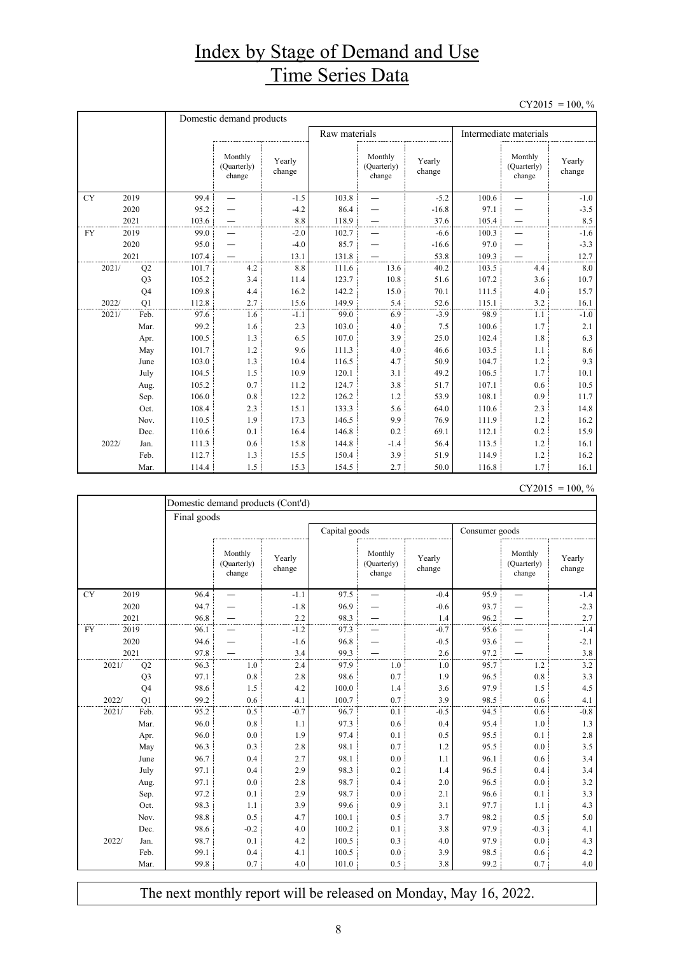# Index by Stage of Demand and Use Time Series Data

 $CY2015 = 100, \%$ 

|           |                | Domestic demand products |                                  |                  |               |                                  |                  |                        |                                  |                  |  |
|-----------|----------------|--------------------------|----------------------------------|------------------|---------------|----------------------------------|------------------|------------------------|----------------------------------|------------------|--|
|           |                |                          |                                  |                  | Raw materials |                                  |                  | Intermediate materials |                                  |                  |  |
|           |                |                          | Monthly<br>(Quarterly)<br>change | Yearly<br>change |               | Monthly<br>(Quarterly)<br>change | Yearly<br>change |                        | Monthly<br>(Quarterly)<br>change | Yearly<br>change |  |
| <b>CY</b> | 2019           | 99.4                     |                                  | $-1.5$           | 103.8         |                                  | $-5.2$           | 100.6                  |                                  | $-1.0$           |  |
|           | 2020           | 95.2                     |                                  | $-4.2$           | 86.4          |                                  | $-16.8$          | 97.1                   |                                  | $-3.5$           |  |
|           | 2021           | 103.6                    |                                  | 8.8              | 118.9         |                                  | 37.6             | 105.4                  |                                  | 8.5              |  |
| <b>FY</b> | 2019           | 99.0                     |                                  | $-2.0$           | 102.7         |                                  | $-6.6$           | 100.3                  |                                  | $-1.6$           |  |
|           | 2020           | 95.0                     |                                  | $-4.0$           | 85.7          |                                  | $-16.6$          | 97.0                   |                                  | $-3.3$           |  |
|           | 2021           | 107.4                    |                                  | 13.1             | 131.8         |                                  | 53.8             | 109.3                  |                                  | 12.7             |  |
| 2021/     | Q2             | 101.7                    | 4.2                              | 8.8              | 111.6         | 13.6                             | 40.2             | 103.5                  | 4.4                              | 8.0              |  |
|           | Q <sub>3</sub> | 105.2                    | 3.4                              | 11.4             | 123.7         | 10.8                             | 51.6             | 107.2                  | 3.6                              | 10.7             |  |
|           | Q <sub>4</sub> | 109.8                    | 4.4                              | 16.2             | 142.2         | 15.0                             | 70.1             | 111.5                  | 4.0                              | 15.7             |  |
| 2022/     | O <sub>1</sub> | 112.8                    | 2.7                              | 15.6             | 149.9         | 5.4                              | 52.6             | 115.1                  | 3.2                              | 16.1             |  |
| 2021/     | Feb.           | 97.6                     | 1.6                              | $-1.1$           | 99.0          | 6.9                              | $-3.9$           | 98.9                   | 1.1                              | $-1.0$           |  |
|           | Mar.           | 99.2                     | 1.6                              | 2.3              | 103.0         | 4.0                              | 7.5              | 100.6                  | 1.7                              | 2.1              |  |
|           | Apr.           | 100.5                    | 1.3                              | 6.5              | 107.0         | 3.9                              | 25.0             | 102.4                  | 1.8                              | 6.3              |  |
|           | May            | 101.7                    | 1.2                              | 9.6              | 111.3         | 4.0                              | 46.6             | 103.5                  | 1.1                              | 8.6              |  |
|           | June           | 103.0                    | 1.3                              | 10.4             | 116.5         | 4.7                              | 50.9             | 104.7                  | 1.2                              | 9.3              |  |
|           | July           | 104.5                    | 1.5                              | 10.9             | 120.1         | 3.1                              | 49.2             | 106.5                  | 1.7                              | 10.1             |  |
|           | Aug.           | 105.2                    | 0.7                              | 11.2             | 124.7         | 3.8                              | 51.7             | 107.1                  | 0.6                              | 10.5             |  |
|           | Sep.           | 106.0                    | 0.8                              | 12.2             | 126.2         | 1.2                              | 53.9             | 108.1                  | 0.9                              | 11.7             |  |
|           | Oct.           | 108.4                    | 2.3                              | 15.1             | 133.3         | 5.6                              | 64.0             | 110.6                  | 2.3                              | 14.8             |  |
|           | Nov.           | 110.5                    | 1.9                              | 17.3             | 146.5         | 9.9                              | 76.9             | 111.9                  | 1.2                              | 16.2             |  |
|           | Dec.           | 110.6                    | 0.1                              | 16.4             | 146.8         | 0.2                              | 69.1             | 112.1                  | 0.2                              | 15.9             |  |
| 2022/     | Jan.           | 111.3                    | 0.6                              | 15.8             | 144.8         | $-1.4$                           | 56.4             | 113.5                  | 1.2                              | 16.1             |  |
|           | Feb.           | 112.7                    | 1.3                              | 15.5             | 150.4         | 3.9                              | 51.9             | 114.9                  | 1.2                              | 16.2             |  |
|           | Mar.           | 114.4                    | 1.5                              | 15.3             | 154.5         | 2.7                              | 50.0             | 116.8                  | 1.7                              | 16.1             |  |

 $CY2015 = 100, \%$ 

|           | Domestic demand products (Cont'd) |                |      |                                  |                  |               |                                  |                  |                |                                  |                  |  |  |  |
|-----------|-----------------------------------|----------------|------|----------------------------------|------------------|---------------|----------------------------------|------------------|----------------|----------------------------------|------------------|--|--|--|
|           |                                   |                |      | Final goods                      |                  |               |                                  |                  |                |                                  |                  |  |  |  |
|           |                                   |                |      |                                  |                  | Capital goods |                                  |                  | Consumer goods |                                  |                  |  |  |  |
|           |                                   |                |      | Monthly<br>(Quarterly)<br>change | Yearly<br>change |               | Monthly<br>(Quarterly)<br>change | Yearly<br>change |                | Monthly<br>(Quarterly)<br>change | Yearly<br>change |  |  |  |
| <b>CY</b> | 2019                              |                | 96.4 |                                  | $-1.1$           | 97.5          |                                  | $-0.4$           | 95.9           |                                  | $-1.4$           |  |  |  |
|           | 2020                              |                | 94.7 |                                  | $-1.8$           | 96.9          |                                  | $-0.6$           | 93.7           |                                  | $-2.3$           |  |  |  |
|           | 2021                              |                | 96.8 |                                  | 2.2              | 98.3          |                                  | 1.4              | 96.2           |                                  | 2.7              |  |  |  |
| <b>FY</b> | 2019                              |                | 96.1 |                                  | $-1.2$           | 97.3          |                                  | $-0.7$           | 95.6           |                                  | $-1.4$           |  |  |  |
|           | 2020                              |                | 94.6 |                                  | $-1.6$           | 96.8          |                                  | $-0.5$           | 93.6           |                                  | $-2.1$           |  |  |  |
|           | 2021                              |                | 97.8 |                                  | 3.4              | 99.3          |                                  | 2.6              | 97.2           |                                  | 3.8              |  |  |  |
|           | 2021/                             | Q2             | 96.3 | 1.0                              | 2.4              | 97.9          | 1.0                              | 1.0              | 95.7           | 1.2                              | 3.2              |  |  |  |
|           |                                   | Q <sub>3</sub> | 97.1 | $0.8\,$                          | 2.8              | 98.6          | 0.7                              | 1.9              | 96.5           | 0.8                              | 3.3              |  |  |  |
|           |                                   | Q <sub>4</sub> | 98.6 | 1.5                              | 4.2              | 100.0         | 1.4                              | 3.6              | 97.9           | 1.5                              | 4.5              |  |  |  |
|           | 2022/                             | O <sub>1</sub> | 99.2 | 0.6                              | 4.1              | 100.7         | 0.7                              | 3.9              | 98.5           | 0.6                              | 4.1              |  |  |  |
|           | 2021/                             | Feb.           | 95.2 | 0.5                              | $-0.7$           | 96.7          | 0.1                              | $-0.5$           | 94.5           | 0.6                              | $-0.8$           |  |  |  |
|           |                                   | Mar.           | 96.0 | 0.8                              | 1.1              | 97.3          | 0.6                              | 0.4              | 95.4           | 1.0                              | 1.3              |  |  |  |
|           |                                   | Apr.           | 96.0 | 0.0                              | 1.9              | 97.4          | 0.1                              | 0.5              | 95.5           | 0.1                              | 2.8              |  |  |  |
|           |                                   | May            | 96.3 | 0.3                              | 2.8              | 98.1          | 0.7                              | 1.2              | 95.5           | 0.0                              | 3.5              |  |  |  |
|           |                                   | June           | 96.7 | 0.4                              | 2.7              | 98.1          | 0.0                              | 1.1              | 96.1           | 0.6                              | 3.4              |  |  |  |
|           |                                   | July           | 97.1 | 0.4                              | 2.9              | 98.3          | 0.2                              | 1.4              | 96.5           | 0.4                              | 3.4              |  |  |  |
|           |                                   | Aug.           | 97.1 | 0.0                              | 2.8              | 98.7          | 0.4                              | 2.0              | 96.5           | 0.0                              | 3.2              |  |  |  |
|           |                                   | Sep.           | 97.2 | 0.1                              | 2.9              | 98.7          | 0.0                              | 2.1              | 96.6           | 0.1                              | 3.3              |  |  |  |
|           |                                   | Oct.           | 98.3 | 1.1                              | 3.9              | 99.6          | 0.9                              | 3.1              | 97.7           | 1.1                              | 4.3              |  |  |  |
|           |                                   | Nov.           | 98.8 | 0.5                              | 4.7              | 100.1         | 0.5                              | 3.7              | 98.2           | 0.5                              | 5.0              |  |  |  |
|           |                                   | Dec.           | 98.6 | $-0.2$                           | 4.0              | 100.2         | 0.1                              | 3.8              | 97.9           | $-0.3$                           | 4.1              |  |  |  |
|           | 2022/                             | Jan.           | 98.7 | 0.1                              | 4.2              | 100.5         | 0.3                              | 4.0              | 97.9           | 0.0                              | 4.3              |  |  |  |
|           |                                   | Feb.           | 99.1 | 0.4                              | 4.1              | 100.5         | 0.0                              | 3.9              | 98.5           | 0.6                              | 4.2              |  |  |  |
|           |                                   | Mar.           | 99.8 | 0.7                              | 4.0              | 101.0         | 0.5                              | 3.8              | 99.2           | 0.7                              | 4.0              |  |  |  |

The next monthly report will be released on Monday, May 16, 2022.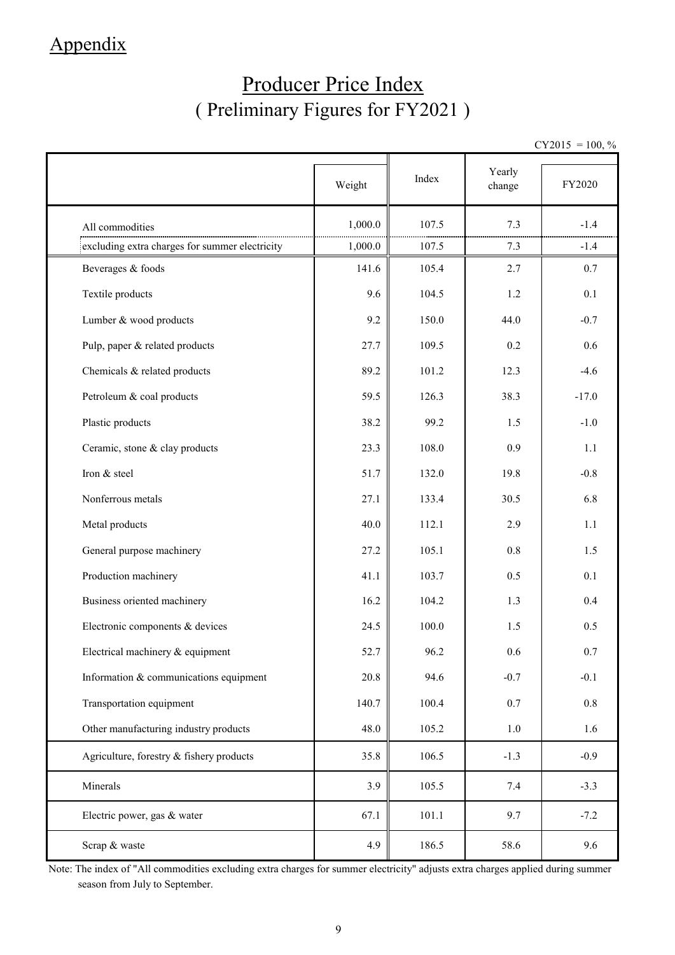### Appendix

# Producer Price Index ( Preliminary Figures for FY2021 )

 $CY2015 = 100, \%$ 

|                                                | Weight  | Index | Yearly<br>change | FY2020  |
|------------------------------------------------|---------|-------|------------------|---------|
| All commodities                                | 1,000.0 | 107.5 | 7.3              | $-1.4$  |
| excluding extra charges for summer electricity | 1,000.0 | 107.5 | 7.3              | $-1.4$  |
| Beverages & foods                              | 141.6   | 105.4 | 2.7              | 0.7     |
| Textile products                               | 9.6     | 104.5 | 1.2              | 0.1     |
| Lumber & wood products                         | 9.2     | 150.0 | 44.0             | $-0.7$  |
| Pulp, paper & related products                 | 27.7    | 109.5 | 0.2              | 0.6     |
| Chemicals & related products                   | 89.2    | 101.2 | 12.3             | $-4.6$  |
| Petroleum & coal products                      | 59.5    | 126.3 | 38.3             | $-17.0$ |
| Plastic products                               | 38.2    | 99.2  | 1.5              | $-1.0$  |
| Ceramic, stone & clay products                 | 23.3    | 108.0 | 0.9              | 1.1     |
| Iron & steel                                   | 51.7    | 132.0 | 19.8             | $-0.8$  |
| Nonferrous metals                              | 27.1    | 133.4 | 30.5             | 6.8     |
| Metal products                                 | 40.0    | 112.1 | 2.9              | 1.1     |
| General purpose machinery                      | 27.2    | 105.1 | 0.8              | 1.5     |
| Production machinery                           | 41.1    | 103.7 | 0.5              | 0.1     |
| Business oriented machinery                    | 16.2    | 104.2 | 1.3              | 0.4     |
| Electronic components & devices                | 24.5    | 100.0 | 1.5              | 0.5     |
| Electrical machinery & equipment               | 52.7    | 96.2  | 0.6              | 0.7     |
| Information & communications equipment         | 20.8    | 94.6  | $-0.7$           | $-0.1$  |
| Transportation equipment                       | 140.7   | 100.4 | $0.7\,$          | $0.8\,$ |
| Other manufacturing industry products          | 48.0    | 105.2 | $1.0\,$          | 1.6     |
| Agriculture, forestry & fishery products       | 35.8    | 106.5 | $-1.3$           | $-0.9$  |
| Minerals                                       | 3.9     | 105.5 | 7.4              | $-3.3$  |
| Electric power, gas & water                    | 67.1    | 101.1 | 9.7              | $-7.2$  |
| Scrap & waste                                  | 4.9     | 186.5 | 58.6             | 9.6     |

Note: The index of "All commodities excluding extra charges for summer electricity" adjusts extra charges applied during summer season from July to September.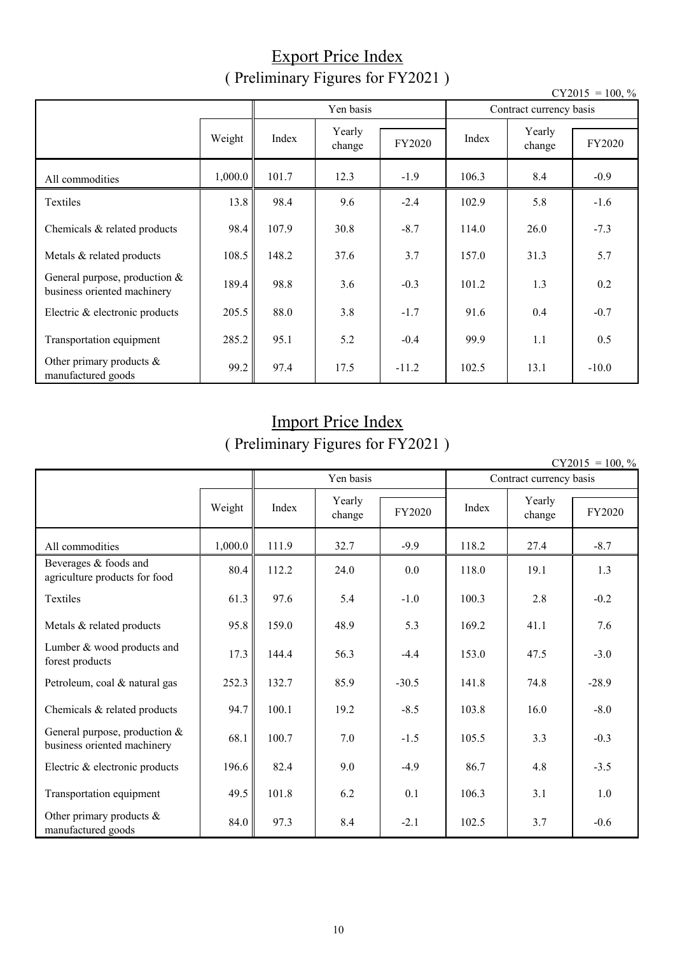#### Export Price Index ( Preliminary Figures for FY2021 )

|                                                                |         | ັ     | ب                |         |                         |                  | $CY2015 = 100, \%$ |  |
|----------------------------------------------------------------|---------|-------|------------------|---------|-------------------------|------------------|--------------------|--|
|                                                                |         |       | Yen basis        |         | Contract currency basis |                  |                    |  |
|                                                                | Weight  | Index | Yearly<br>change | FY2020  | Index                   | Yearly<br>change | FY2020             |  |
| All commodities                                                | 1,000.0 | 101.7 | 12.3             | $-1.9$  | 106.3                   | 8.4              | $-0.9$             |  |
| Textiles                                                       | 13.8    | 98.4  | 9.6              | $-2.4$  | 102.9                   | 5.8              | $-1.6$             |  |
| Chemicals & related products                                   | 98.4    | 107.9 | 30.8             | $-8.7$  | 114.0                   | 26.0             | $-7.3$             |  |
| Metals & related products                                      | 108.5   | 148.2 | 37.6             | 3.7     | 157.0                   | 31.3             | 5.7                |  |
| General purpose, production $&$<br>business oriented machinery | 189.4   | 98.8  | 3.6              | $-0.3$  | 101.2                   | 1.3              | 0.2                |  |
| Electric & electronic products                                 | 205.5   | 88.0  | 3.8              | $-1.7$  | 91.6                    | 0.4              | $-0.7$             |  |
| Transportation equipment                                       | 285.2   | 95.1  | 5.2              | $-0.4$  | 99.9                    | 1.1              | 0.5                |  |
| Other primary products $\&$<br>manufactured goods              | 99.2    | 97.4  | 17.5             | $-11.2$ | 102.5                   | 13.1             | $-10.0$            |  |

# Import Price Index

( Preliminary Figures for FY2021 )

| CY2015 | $= 100.$ % |  |
|--------|------------|--|
|        |            |  |

|                                                                |         | Yen basis |                  | 100, 70<br>Contract currency basis |       |                  |         |
|----------------------------------------------------------------|---------|-----------|------------------|------------------------------------|-------|------------------|---------|
|                                                                | Weight  | Index     | Yearly<br>change | FY2020                             | Index | Yearly<br>change | FY2020  |
| All commodities                                                | 1,000.0 | 111.9     | 32.7             | $-9.9$                             | 118.2 | 27.4             | $-8.7$  |
| Beverages & foods and<br>agriculture products for food         | 80.4    | 112.2     | 24.0             | 0.0                                | 118.0 | 19.1             | 1.3     |
| Textiles                                                       | 61.3    | 97.6      | 5.4              | $-1.0$                             | 100.3 | 2.8              | $-0.2$  |
| Metals & related products                                      | 95.8    | 159.0     | 48.9             | 5.3                                | 169.2 | 41.1             | 7.6     |
| Lumber & wood products and<br>forest products                  | 17.3    | 144.4     | 56.3             | $-4.4$                             | 153.0 | 47.5             | $-3.0$  |
| Petroleum, coal & natural gas                                  | 252.3   | 132.7     | 85.9             | $-30.5$                            | 141.8 | 74.8             | $-28.9$ |
| Chemicals & related products                                   | 94.7    | 100.1     | 19.2             | $-8.5$                             | 103.8 | 16.0             | $-8.0$  |
| General purpose, production $&$<br>business oriented machinery | 68.1    | 100.7     | 7.0              | $-1.5$                             | 105.5 | 3.3              | $-0.3$  |
| Electric & electronic products                                 | 196.6   | 82.4      | 9.0              | $-4.9$                             | 86.7  | 4.8              | $-3.5$  |
| Transportation equipment                                       | 49.5    | 101.8     | 6.2              | 0.1                                | 106.3 | 3.1              | 1.0     |
| Other primary products &<br>manufactured goods                 | 84.0    | 97.3      | 8.4              | $-2.1$                             | 102.5 | 3.7              | $-0.6$  |